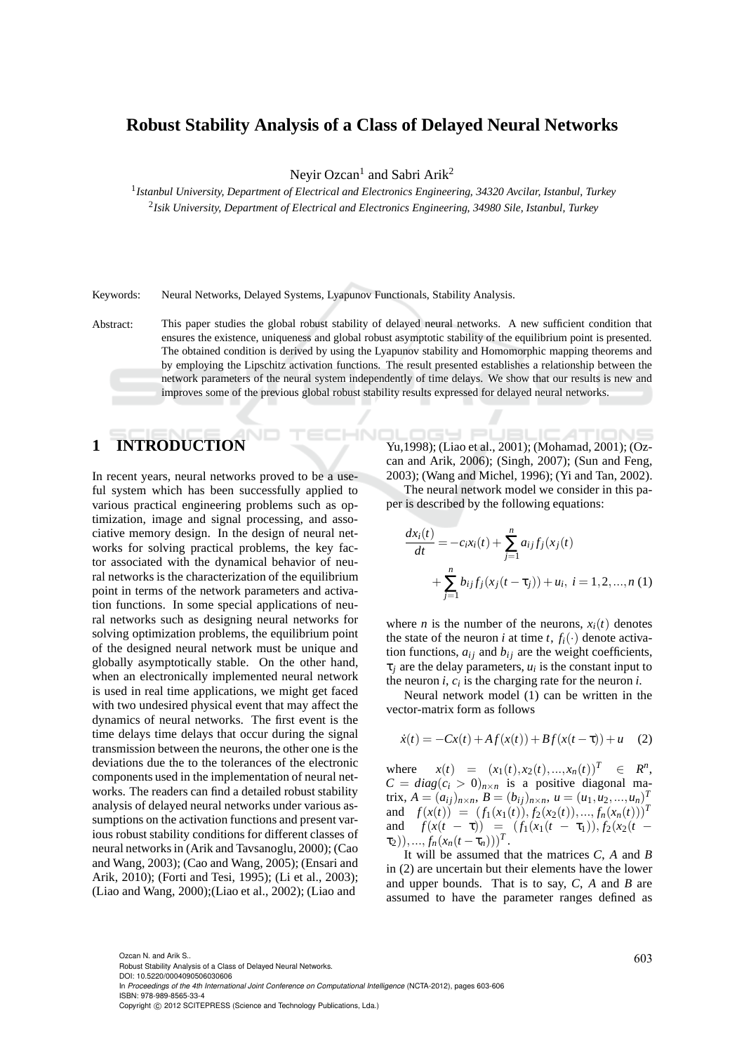#### **Robust Stability Analysis of a Class of Delayed Neural Networks**

Neyir Ozcan<sup>1</sup> and Sabri Arik<sup>2</sup>

1 *Istanbul University, Department of Electrical and Electronics Engineering, 34320 Avcilar, Istanbul, Turkey* 2 *Isik University, Department of Electrical and Electronics Engineering, 34980 Sile, Istanbul, Turkey*

Keywords: Neural Networks, Delayed Systems, Lyapunov Functionals, Stability Analysis.

Abstract: This paper studies the global robust stability of delayed neural networks. A new sufficient condition that ensures the existence, uniqueness and global robust asymptotic stability of the equilibrium point is presented. The obtained condition is derived by using the Lyapunov stability and Homomorphic mapping theorems and by employing the Lipschitz activation functions. The result presented establishes a relationship between the network parameters of the neural system independently of time delays. We show that our results is new and improves some of the previous global robust stability results expressed for delayed neural networks.

# **1 INTRODUCTION**

In recent years, neural networks proved to be a useful system which has been successfully applied to various practical engineering problems such as optimization, image and signal processing, and associative memory design. In the design of neural networks for solving practical problems, the key factor associated with the dynamical behavior of neural networks is the characterization of the equilibrium point in terms of the network parameters and activation functions. In some special applications of neural networks such as designing neural networks for solving optimization problems, the equilibrium point of the designed neural network must be unique and globally asymptotically stable. On the other hand, when an electronically implemented neural network is used in real time applications, we might get faced with two undesired physical event that may affect the dynamics of neural networks. The first event is the time delays time delays that occur during the signal transmission between the neurons, the other one is the deviations due the to the tolerances of the electronic components used in the implementation of neural networks. The readers can find a detailed robust stability analysis of delayed neural networks under various assumptions on the activation functions and present various robust stability conditions for different classes of neural networks in (Arik and Tavsanoglu, 2000); (Cao and Wang, 2003); (Cao and Wang, 2005); (Ensari and Arik, 2010); (Forti and Tesi, 1995); (Li et al., 2003); (Liao and Wang, 2000);(Liao et al., 2002); (Liao and

igy Pl Yu,1998); (Liao et al., 2001); (Mohamad, 2001); (Ozcan and Arik, 2006); (Singh, 2007); (Sun and Feng, 2003); (Wang and Michel, 1996); (Yi and Tan, 2002).

The neural network model we consider in this paper is described by the following equations:

$$
\frac{dx_i(t)}{dt} = -c_i x_i(t) + \sum_{j=1}^n a_{ij} f_j(x_j(t) + \sum_{j=1}^n b_{ij} f_j(x_j(t-\tau_j)) + u_i, \ i = 1, 2, ..., n \ (1)
$$

where *n* is the number of the neurons,  $x_i(t)$  denotes the state of the neuron *i* at time *t*,  $f_i(\cdot)$  denote activation functions,  $a_{ij}$  and  $b_{ij}$  are the weight coefficients,  $\tau_j$  are the delay parameters,  $u_i$  is the constant input to the neuron  $i$ ,  $c_i$  is the charging rate for the neuron  $i$ .

Neural network model (1) can be written in the vector-matrix form as follows

$$
\dot{x}(t) = -Cx(t) + Af(x(t)) + Bf(x(t-\tau)) + u \quad (2)
$$

where  $x(t) = (x_1(t), x_2(t), ..., x_n(t))^T \in R^n$ ,  $C = diag(c_i > 0)_{n \times n}$  is a positive diagonal matrix,  $A = (a_{ij})_{n \times n}$ ,  $B = (b_{ij})_{n \times n}$ ,  $u = (u_1, u_2, ..., u_n)^T$ and  $f(x(t)) = (f_1(x_1(t)), f_2(x_2(t)),..., f_n(x_n(t)))^T$ and  $f(x(t - \tau)) = (f_1(x_1(t - \tau_1)), f_2(x_2(t (\tau_2), ..., f_n(x_n(t-\tau_n)))^T$ .

It will be assumed that the matrices *C*, *A* and *B* in (2) are uncertain but their elements have the lower and upper bounds. That is to say, *C*, *A* and *B* are assumed to have the parameter ranges defined as

Ozcan N. and Arik S..  $603$ <br>Robust Stability Analysis of a Class of Delayed Neural Networks. DOI: 10.5220/0004090506030606

In *Proceedings of the 4th International Joint Conference on Computational Intelligence* (NCTA-2012), pages 603-606 ISBN: 978-989-8565-33-4

Copyright © 2012 SCITEPRESS (Science and Technology Publications, Lda.)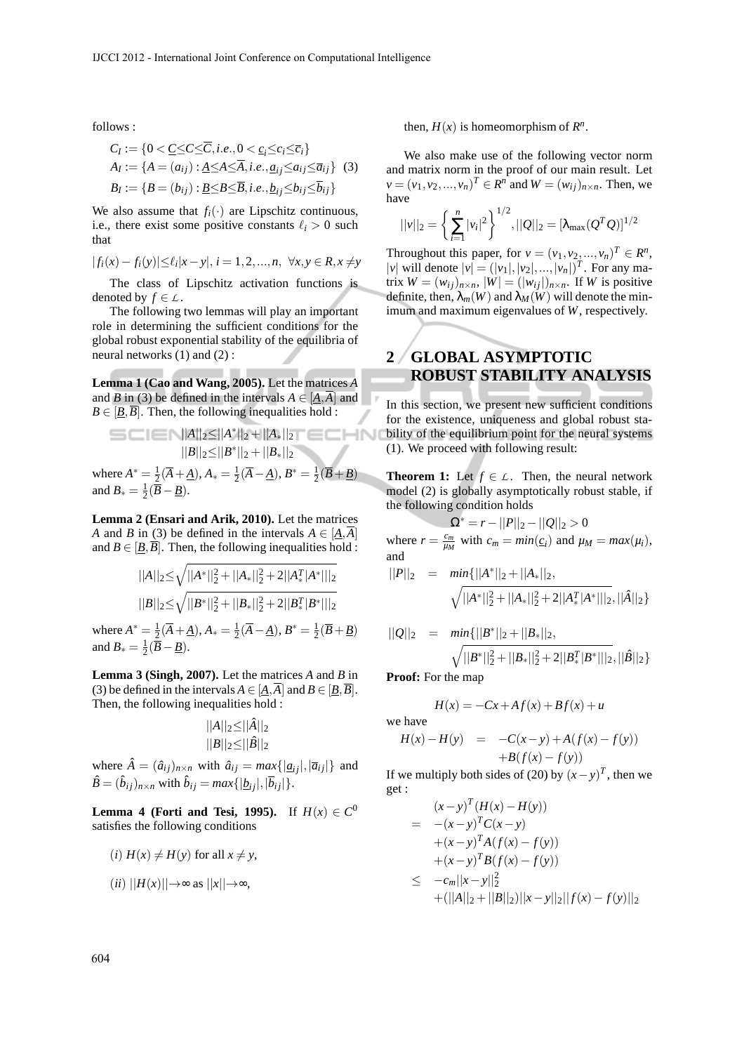follows :

$$
C_I := \{0 < \underline{C} \leq C \leq \overline{C}, i.e., 0 < \underline{c_i} \leq \overline{c_i}\}
$$
\n
$$
A_I := \{A = (a_{ij}) : \underline{A} \leq A \leq \overline{A}, i.e., \underline{a_{ij}} \leq a_{ij} \leq \overline{a_{ij}}\} \quad (3)
$$
\n
$$
B_I := \{B = (b_{ij}) : \underline{B} \leq B \leq \overline{B}, i.e., \underline{b_{ij}} \leq b_{ij} \leq \overline{b_{ij}}\}
$$

We also assume that  $f_i(\cdot)$  are Lipschitz continuous, i.e., there exist some positive constants  $\ell_i > 0$  such that

$$
|f_i(x) - f_i(y)| \le \ell_i |x - y|, i = 1, 2, ..., n, \ \forall x, y \in R, x \ne y
$$

The class of Lipschitz activation functions is denoted by  $f \in L$ .

The following two lemmas will play an important role in determining the sufficient conditions for the global robust exponential stability of the equilibria of neural networks (1) and (2) :

**Lemma 1 (Cao and Wang, 2005).** Let the matrices *A* and *B* in (3) be defined in the intervals  $A \in [A, \overline{A}]$  and  $B \in [\underline{B}, \overline{B}]$ . Then, the following inequalities hold :

$$
||A||_2 \le ||A^*||_2 + ||A_*||_2
$$
  
\n
$$
||B||_2 \le ||B^*||_2 + ||B_*||_2
$$
  
\nwhere  $A^* = \frac{1}{2}(\overline{A} + \underline{A}), A_* = \frac{1}{2}(\overline{A} - \underline{A}), B^* = \frac{1}{2}(\overline{B} + \underline{B})$   
\nand  $B_* = \frac{1}{2}(\overline{B} - \underline{B}).$ 

**Lemma 2 (Ensari and Arik, 2010).** Let the matrices *A* and *B* in (3) be defined in the intervals  $A \in [\underline{A}, \overline{A}]$ and  $B \in [B, \overline{B}]$ . Then, the following inequalities hold :

$$
||A||_2 \le \sqrt{||A^*||_2^2 + ||A_*||_2^2 + 2||A_*^T|A^*||_2}
$$
  

$$
||B||_2 \le \sqrt{||B^*||_2^2 + ||B_*||_2^2 + 2||B_*^T|B^*||_2}
$$

where  $A^* = \frac{1}{2}(\overline{A} + \underline{A}), A_* = \frac{1}{2}(\overline{A} - \underline{A}), B^* = \frac{1}{2}(\overline{B} + \underline{B})$ and  $B_* = \frac{1}{2}(\overline{B} - \underline{B}).$ 

**Lemma 3 (Singh, 2007).** Let the matrices *A* and *B* in (3) be defined in the intervals  $A \in [\underline{A}, \overline{A}]$  and  $B \in [\underline{B}, \overline{B}]$ . Then, the following inequalities hold :

$$
\frac{||A||_2 \leq ||\hat{A}||_2}{||B||_2 \leq ||\hat{B}||_2}
$$

where  $\hat{A} = (\hat{a}_{ij})_{n \times n}$  with  $\hat{a}_{ij} = max\{|\underline{a}_{ij}|,|\overline{a}_{ij}|\}$  and  $\hat{B} = (\hat{b}_{ij})_{n \times n}$  with  $\hat{b}_{ij} = max\{|\underline{b}_{ij}|, |\overline{b}_{ij}|\}.$ 

**Lemma 4 (Forti and Tesi, 1995).** If  $H(x) \in C^0$ satisfies the following conditions

$$
(i) H(x) \neq H(y) \text{ for all } x \neq y,
$$

$$
(ii) ||H(x)|| \rightarrow \infty \text{ as } ||x|| \rightarrow \infty,
$$

then,  $H(x)$  is homeomorphism of  $R^n$ .

We also make use of the following vector norm and matrix norm in the proof of our main result. Let  $v = (v_1, v_2, ..., v_n)^T \in R^n$  and  $W = (w_{ij})_{n \times n}$ . Then, we have

$$
||v||_2 = \left\{ \sum_{i=1}^n |v_i|^2 \right\}^{1/2}, ||Q||_2 = [\lambda_{\max}(Q^T Q)]^{1/2}
$$

Throughout this paper, for  $v = (v_1, v_2, ..., v_n)^T \in \mathbb{R}^n$ ,  $|v|$  will denote  $|v| = (|v_1|, |v_2|, ..., |v_n|)^T$ . For any matrix  $W = (w_{ij})_{n \times n}$ ,  $|W| = (|w_{ij}|)_{n \times n}$ . If *W* is positive definite, then,  $\lambda_m(W)$  and  $\lambda_M(W)$  will denote the minimum and maximum eigenvalues of *W*, respectively.

### **2 GLOBAL ASYMPTOTIC ROBUST STABILITY ANALYSIS**

In this section, we present new sufficient conditions for the existence, uniqueness and global robust stability of the equilibrium point for the neural systems (1). We proceed with following result:

**Theorem 1:** Let  $f \in L$ . Then, the neural network model (2) is globally asymptotically robust stable, if the following condition holds

$$
\Omega^* = r - ||P||_2 - ||Q||_2 > 0
$$

where  $r = \frac{c_m}{\mu_M}$  with  $c_m = min(\underline{c_i})$  and  $\mu_M = max(\mu_i)$ , and

$$
||P||_2 = min{||A^*||_2 + ||A_*||_2},
$$
  

$$
\sqrt{||A^*||_2^2 + ||A_*||_2^2 + 2||A_*^T|A^*||_2}, ||\hat{A}||_2}
$$

$$
||Q||_2 = min{||B^*||_2 + ||B_*||_2},
$$
  

$$
\sqrt{||B^*||_2^2 + ||B_*||_2^2 + 2||B_*^T|B^*||_2}, ||\hat{B}||_2}
$$

**Proof:** For the map

$$
H(x) = -Cx + Af(x) + Bf(x) + u
$$
  
we have  

$$
H(x) - H(y) = -C(x - y) + A(f(x) - f(y))
$$

$$
+ B(f(x) - f(y))
$$

If we multiply both sides of (20) by  $(x - y)^T$ , then we get :

$$
(x-y)^{T} (H(x) - H(y))
$$
  
= - (x-y)^{T} C(x-y)  
+ (x-y)^{T} A(f(x) - f(y))  
+ (x-y)^{T} B(f(x) - f(y))  

$$
\leq -c_m ||x-y||_2^2
$$
+ (||A||\_2 + ||B||\_2)||x-y||\_2||f(x) - f(y)||\_2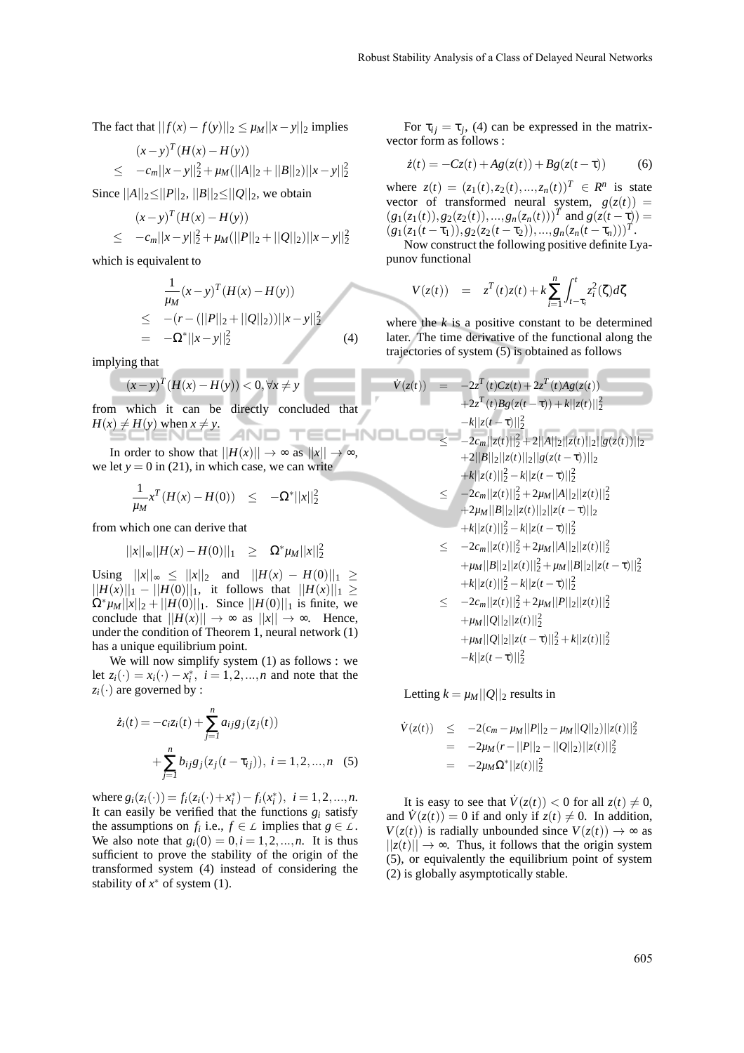The fact that 
$$
||f(x) - f(y)||_2 \le \mu_M ||x - y||_2
$$
 implies

$$
(x-y)^{T} (H(x) - H(y))
$$
  
\n
$$
\leq -c_{m}||x-y||_{2}^{2} + \mu_{M} (||A||_{2} + ||B||_{2})||x-y||_{2}^{2}
$$

Since  $||A||_2 \leq ||P||_2$ ,  $||B||_2 \leq ||Q||_2$ , we obtain

$$
(x-y)^{T} (H(x) - H(y))
$$
  
\n
$$
\leq -c_m ||x-y||_2^2 + \mu_M(||P||_2 + ||Q||_2)||x-y||_2^2
$$

which is equivalent to

$$
\frac{1}{\mu_M}(x-y)^T(H(x)-H(y))
$$
\n
$$
\leq -(r - (||P||_2 + ||Q||_2))||x-y||_2^2
$$
\n
$$
= -\Omega^*||x-y||_2^2
$$
\n(4)

implying that

$$
(x-y)^{T}(H(x) - H(y)) < 0, \forall x \neq y
$$

from which it can be directly concluded that  $H(x) \neq H(y)$  when  $x \neq y$ . -INC

In order to show that  $||H(x)|| \rightarrow \infty$  as  $||x|| \rightarrow \infty$ , we let  $y = 0$  in (21), in which case, we can write

$$
\frac{1}{\mu_M} x^T (H(x) - H(0)) \le -\Omega^* ||x||_2^2
$$

from which one can derive that

$$
||x||_{\infty}||H(x) - H(0)||_1 \geq \Omega^* \mu_M ||x||_2^2
$$

Using  $||x||_{\infty}$  ≤  $||x||_2$  and  $||H(x) - H(0)||_1$  ≥  $||H(x)||_1 - ||H(0)||_1$ , it follows that  $||H(x)||_1 ≥$  $\Omega^* \mu_M ||x||_2 + ||H(0)||_1$ . Since  $||H(0)||_1$  is finite, we conclude that  $||H(x)|| \rightarrow \infty$  as  $||x|| \rightarrow \infty$ . Hence, under the condition of Theorem 1, neural network (1) has a unique equilibrium point.

We will now simplify system (1) as follows : we let  $z_i(\cdot) = x_i(\cdot) - x_i^*$ ,  $i = 1, 2, ..., n$  and note that the  $z_i(\cdot)$  are governed by :

$$
\dot{z}_i(t) = -c_i z_i(t) + \sum_{j=1}^n a_{ij} g_j(z_j(t)) + \sum_{j=1}^n b_{ij} g_j(z_j(t - \tau_{ij})), \ i = 1, 2, ..., n \quad (5)
$$

where  $g_i(z_i(\cdot)) = f_i(z_i(\cdot) + x_i^*) - f_i(x_i^*), i = 1, 2, ..., n$ . It can easily be verified that the functions  $g_i$  satisfy the assumptions on  $f_i$  i.e.,  $f \in L$  implies that  $g \in L$ . We also note that  $g_i(0) = 0, i = 1, 2, ..., n$ . It is thus sufficient to prove the stability of the origin of the transformed system (4) instead of considering the stability of  $x^*$  of system (1).

For  $\tau_{ij} = \tau_j$ , (4) can be expressed in the matrixvector form as follows :

$$
\dot{z}(t) = -Cz(t) + Ag(z(t)) + Bg(z(t-\tau))
$$
 (6)

where  $z(t) = (z_1(t), z_2(t), ..., z_n(t))^T \in R^n$  is state vector of transformed neural system,  $g(z(t))$  =  $(g_1(z_1(t)), g_2(z_2(t)),...,g_n(z_n(t)))$ <sup>T</sup> and  $g(z(t-\tau))$  =  $(g_1(z_1(t-\tau_1)), g_2(z_2(t-\tau_2)),...,g_n(z_n(t-\tau_n)))^T$ .

Now construct the following positive definite Lyapunov functional

$$
V(z(t)) = z^{T}(t)z(t) + k \sum_{i=1}^{n} \int_{t-\tau_{i}}^{t} z_{i}^{2}(\zeta) d\zeta
$$

where the  $k$  is a positive constant to be determined later. The time derivative of the functional along the trajectories of system (5) is obtained as follows

$$
\dot{V}(z(t)) = -2z^{T}(t)Cz(t) + 2z^{T}(t)Ag(z(t))
$$
\n
$$
+2z^{T}(t)Bg(z(t-\tau)) + k||z(t)||_{2}^{2}
$$
\n
$$
-k||z(t-\tau)||_{2}^{2}
$$
\n
$$
\leq -2c_{m}||z(t)||_{2}^{2} + 2||A||_{2}||z(t)||_{2}||g(z(t))||_{2}
$$
\n
$$
+2||B||_{2}||z(t)||_{2}||g(z(t-\tau))||_{2}
$$
\n
$$
+k||z(t)||_{2}^{2} - k||z(t-\tau)||_{2}^{2}
$$
\n
$$
\leq -2c_{m}||z(t)||_{2}^{2} + 2\mu_{M}||A||_{2}||z(t)||_{2}^{2}
$$
\n
$$
+2\mu_{M}||B||_{2}||z(t)||_{2}||z(t-\tau)||_{2}
$$
\n
$$
+k||z(t)||_{2}^{2} - k||z(t-\tau)||_{2}^{2}
$$
\n
$$
\leq -2c_{m}||z(t)||_{2}^{2} + 2\mu_{M}||A||_{2}||z(t)||_{2}^{2}
$$
\n
$$
+ \mu_{M}||B||_{2}||z(t)||_{2}^{2} + \mu_{M}||B||_{2}||z(t-\tau)||_{2}^{2}
$$
\n
$$
+k||z(t)||_{2}^{2} - k||z(t-\tau)||_{2}^{2}
$$
\n
$$
\leq -2c_{m}||z(t)||_{2}^{2} + 2\mu_{M}||P||_{2}||z(t)||_{2}^{2}
$$
\n
$$
\leq -2c_{m}||z(t)||_{2}^{2} + 2\mu_{M}||P||_{2}||z(t)||_{2}^{2}
$$

$$
+ \mu_M ||Q||_2 ||z(t)||_2^2
$$
  
+  $\mu_M ||Q||_2 ||z(t-\tau)||_2^2 + k||z(t)||_2^2$   
-  $k||z(t-\tau)||_2^2$ 

Letting  $k = \mu_M ||Q||_2$  results in

$$
\dot{V}(z(t)) \leq -2(c_m - \mu_M ||P||_2 - \mu_M ||Q||_2) ||z(t)||_2^2
$$
  
= -2\mu<sub>M</sub>(r - ||P||\_2 - ||Q||\_2) ||z(t)||\_2^2  
= -2\mu<sub>M</sub>\Omega^\* ||z(t)||\_2^2

It is easy to see that  $\dot{V}(z(t)) < 0$  for all  $z(t) \neq 0$ , and  $\dot{V}(z(t)) = 0$  if and only if  $z(t) \neq 0$ . In addition,  $V(z(t))$  is radially unbounded since  $V(z(t)) \rightarrow \infty$  as  $||z(t)|| \rightarrow \infty$ . Thus, it follows that the origin system (5), or equivalently the equilibrium point of system (2) is globally asymptotically stable.